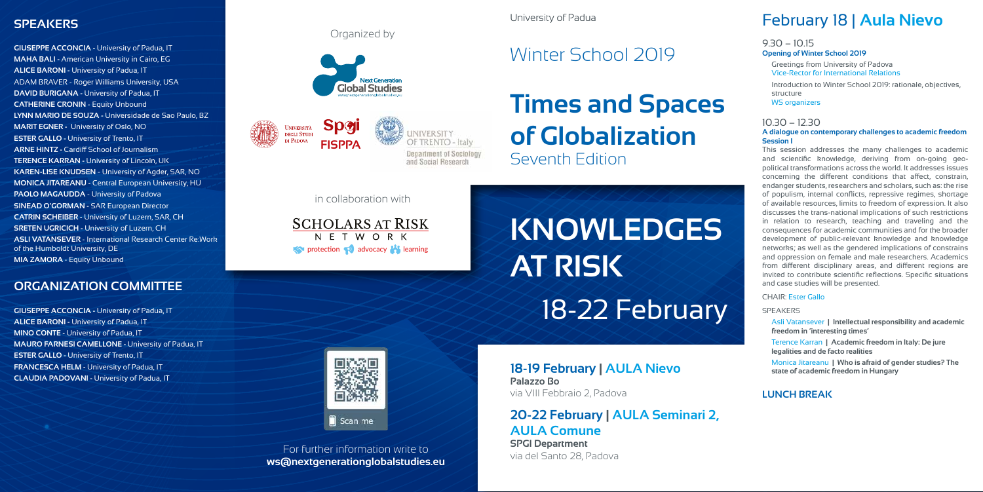### **SPEAKERS**

**GIUSEPPE ACCONCIA - University of Padua, IT MAHA BALI -** American University in Cairo, EG **ALICE BARONI - University of Padua, IT** ADAM BRAVER - Roger Williams University, USA **DAVID BURIGANA -** University of Padua, IT **CATHERINE CRONIN** - Equity Unbound **LYNN MARIO DE SOUZA -** Universidade de Sao Paulo, BZ **MARIT EGNER -** University of Oslo, NO **ESTER GALLO - University of Trento, IT ARNE HINTZ -** Cardiff School of Journalism **TERENCE KARRAN -** University of Lincoln, UK **KAREN-LISE KNUDSEN** - University of Agder, SAR, NO **MONICA JITAREANU -** Central European University, HU **PAOLO MAGAUDDA** - University of Padova **SINEAD O'GORMAN -** SAR European Director **CATRIN SCHEIBER -** University of Luzern, SAR, CH **SRETEN UGRICICH - University of Luzern, CH ASLI VATANSEVER** - International Research Center Re:Work of the Humboldt University, DE **MIA ZAMORA** - Equity Unbound

**ALICE BARONI - University of Padua, IT MINO CONTE -** University of Padua, IT **MAURO FARNESI CAMELLONE -** University of Padua, IT **ESTER GALLO - University of Trento, IT FRANCESCA HELM - University of Padua, IT CLAUDIA PADOVANI -** University of Padua, IT

# **KNOWLEDGES AT RISK** 18-22 February



**GIUSEPPE ACCONCIA - University of Padua, IT** 

Scan me

Introduction to Winter School 2019: rationale, objectives, structure WS organizers

**ORGANIZATION COMMITTEE**

**18-19 February | AULA Nievo Palazzo Bo** via VIII Febbraio 2, Padova

# **20-22 February | AULA Seminari 2, AULA Comune**

**SPGI Department** via del Santo 28, Padova

# February 18 | **Aula Nievo**

#### 9.30 – 10.15 **Opening of Winter School 2019**

Greetings from University of Padova Vice-Rector for International Relations

### 10.30 – 12.30

#### **A dialogue on contemporary challenges to academic freedom Session I**

#### Organized by http://www.spgi.unipd.it/corsi/winter-school-2018



This session addresses the many challenges to academic and scientific knowledge, deriving from on-going geopolitical transformations across the world. It addresses issues concerning the different conditions that affect, constrain, endanger students, researchers and scholars, such as: the rise of populism, internal conflicts, repressive regimes, shortage of available resources, limits to freedom of expression. It also discusses the trans-national implications of such restrictions in relation to research, teaching and traveling and the consequences for academic communities and for the broader development of public-relevant knowledge and knowledge networks; as well as the gendered implications of constrains and oppression on female and male researchers. Academics from different disciplinary areas, and different regions are invited to contribute scientific reflections. Specific situations and case studies will be presented.

# **Times and Spaces of Globalization** Seventh Edition February 23 - 9.30-12.30

#### CHAIR: Ester Gallo

#### SPEAKERS

Asli Vatansever **| Intellectual responsibility and academic freedom in 'interesting times'** 

Terence Karran **| Academic freedom in Italy: De jure legalities and de facto realities**

Monica Jitareanu **| Who is afraid of gender studies? The state of academic freedom in Hungary**

### **LUNCH BREAK**

For further information write to **ws@nextgenerationglobalstudies.eu**

in collaboration with

**SCHOLARS AT RISK** N F T W O R K **protection advocacy** learning





# *Winter School 2019*

University of Padua